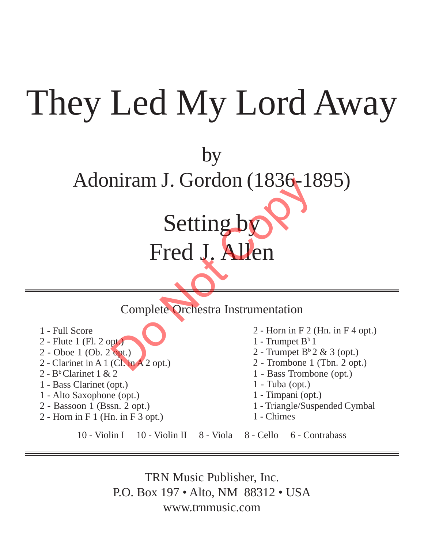## They Led My Lord Away

by Adoniram J. Gordon (1836-1895)

## Fred J. Allen Setting by<br>
Fred J. Allen<br>
Complete Orchestra Instrumentation<br>
Complete Orchestra Instrumentation<br>
Physical La Papel Branch<br>
Col. in A 2 opt.)

Setting by

Complete Orchestra Instrumentation

- 1 Full Score
- 2 Flute 1 (Fl. 2 opt.)
- 2 Oboe 1 (Ob. 2 opt.)
- 2 Clarinet in A 1 (Cl. in A 2 opt.)
- $2 B<sup>b</sup>$  Clarinet 1 & 2
- 1 Bass Clarinet (opt.)
- 1 Alto Saxophone (opt.)
- 2 Bassoon 1 (Bssn. 2 opt.)
- 2 Horn in F 1 (Hn. in F 3 opt.)
- 2 Horn in F 2 (Hn. in F 4 opt.)
- 1 Trumpet  $B^b$  1
- 2 Trumpet  $B^b 2 \& 3$  (opt.)
- 2 Trombone 1 (Tbn. 2 opt.)
- 1 Bass Trombone (opt.)
- 1 Tuba (opt.)
- 1 Timpani (opt.)
- 1 Triangle/Suspended Cymbal
- 1 Chimes

10 - Violin I 10 - Violin II 8 - Viola 8 - Cello 6 - Contrabass

TRN Music Publisher, Inc. P.O. Box 197 • Alto, NM 88312 • USA www.trnmusic.com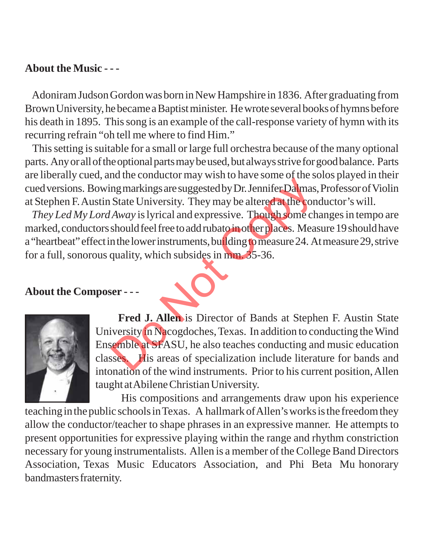## **About the Music - - -**

Adoniram Judson Gordon was born in New Hampshire in 1836. After graduating from Brown University, he became a Baptist minister. He wrote several books of hymns before his death in 1895. This song is an example of the call-response variety of hymn with its recurring refrain "oh tell me where to find Him."

 This setting is suitable for a small or large full orchestra because of the many optional parts. Any or all of the optional parts may be used, but always strive for good balance. Parts are liberally cued, and the conductor may wish to have some of the solos played in their cued versions. Bowing markings are suggested by Dr. Jennifer Dalmas, Professor of Violin at Stephen F. Austin State University. They may be altered at the conductor's will.

*They Led My Lord Away* is lyrical and expressive. Though some changes in tempo are marked, conductors should feel free to add rubato in other places. Measure 19 should have a "heartbeat" effect in the lower instruments, building to measure 24. At measure 29, strive for a full, sonorous quality, which subsides in mm. 35-36.

**About the Composer - - -**



 **Fred J. Allen** is Director of Bands at Stephen F. Austin State University in Nacogdoches, Texas. In addition to conducting the Wind Ensemble at SFASU, he also teaches conducting and music education classes. His areas of specialization include literature for bands and intonation of the wind instruments. Prior to his current position, Allen taught at Abilene Christian University. In the conductor and whole increased by Dr. Jennifer Dalmas.<br>
State University. They may be altered at the conduction of the state of the state of the state of the state of the state of the should feel free to add rubato i

 His compositions and arrangements draw upon his experience teaching in the public schools in Texas. A hallmark of Allen's works is the freedom they allow the conductor/teacher to shape phrases in an expressive manner. He attempts to present opportunities for expressive playing within the range and rhythm constriction necessary for young instrumentalists. Allen is a member of the College Band Directors Association, Texas Music Educators Association, and Phi Beta Mu honorary bandmasters fraternity.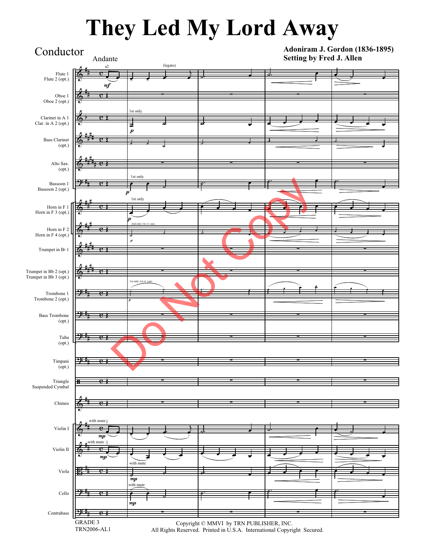## **They Led My Lord Away**